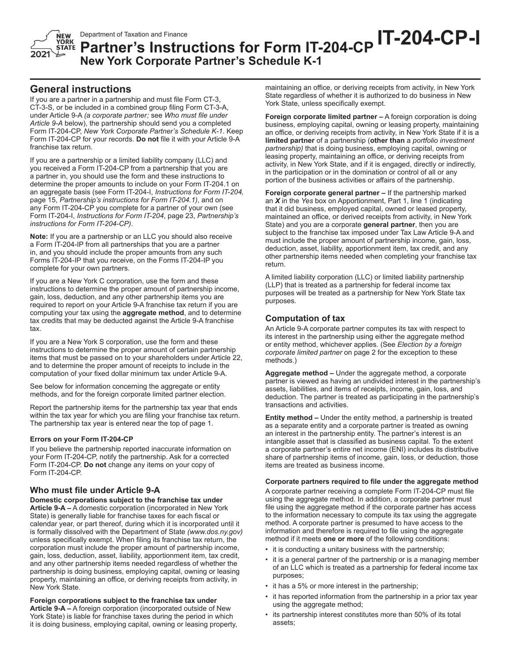

# Department of Taxation and Finance<br>**Partner's Instructions for Form IT-204-CP IT-204-CP-I New York Corporate Partner's Schedule K-1**

# **General instructions**

If you are a partner in a partnership and must file Form CT-3, CT-3-S, or be included in a combined group filing Form CT-3-A, under Article 9-A *(a corporate partner;* see *Who must file under Article 9-A* below), the partnership should send you a completed Form IT-204-CP, *New York Corporate Partner's Schedule K-1*. Keep Form IT‑204‑CP for your records. **Do not** file it with your Article 9-A franchise tax return.

If you are a partnership or a limited liability company (LLC) and you received a Form IT-204-CP from a partnership that you are a partner in, you should use the form and these instructions to determine the proper amounts to include on your Form IT-204.1 on an aggregate basis (see Form IT-204-I, *Instructions for Form IT-204,* page 15, *Partnership's instructions for Form IT-204.1)*, and on any Form IT-204-CP you complete for a partner of your own (see Form IT-204-I, *Instructions for Form IT-204*, page 23, *Partnership's instructions for Form IT-204-CP)*.

**Note:** If you are a partnership or an LLC you should also receive a Form IT-204-IP from all partnerships that you are a partner in, and you should include the proper amounts from any such Forms IT-204-IP that you receive, on the Forms IT-204-IP you complete for your own partners.

If you are a New York C corporation, use the form and these instructions to determine the proper amount of partnership income, gain, loss, deduction, and any other partnership items you are required to report on your Article 9-A franchise tax return if you are computing your tax using the **aggregate method**, and to determine tax credits that may be deducted against the Article 9-A franchise tax.

If you are a New York S corporation, use the form and these instructions to determine the proper amount of certain partnership items that must be passed on to your shareholders under Article 22, and to determine the proper amount of receipts to include in the computation of your fixed dollar minimum tax under Article 9-A.

See below for information concerning the aggregate or entity methods, and for the foreign corporate limited partner election.

Report the partnership items for the partnership tax year that ends within the tax year for which you are filing your franchise tax return. The partnership tax year is entered near the top of page 1.

# **Errors on your Form IT-204-CP**

If you believe the partnership reported inaccurate information on your Form IT-204-CP, notify the partnership. Ask for a corrected Form IT-204-CP. **Do not** change any items on your copy of Form IT-204-CP.

# **Who must file under Article 9-A**

**Domestic corporations subject to the franchise tax under Article 9-A –** A domestic corporation (incorporated in New York State) is generally liable for franchise taxes for each fiscal or calendar year, or part thereof, during which it is incorporated until it is formally dissolved with the Department of State *(www.dos.ny.gov)* unless specifically exempt. When filing its franchise tax return, the corporation must include the proper amount of partnership income, gain, loss, deduction, asset, liability, apportionment item, tax credit, and any other partnership items needed regardless of whether the partnership is doing business, employing capital, owning or leasing property, maintaining an office, or deriving receipts from activity, in New York State.

**Foreign corporations subject to the franchise tax under Article 9-A –** A foreign corporation (incorporated outside of New York State) is liable for franchise taxes during the period in which it is doing business, employing capital, owning or leasing property, maintaining an office, or deriving receipts from activity, in New York State regardless of whether it is authorized to do business in New York State, unless specifically exempt.

**Foreign corporate limited partner –** A foreign corporation is doing business, employing capital, owning or leasing property, maintaining an office, or deriving receipts from activity, in New York State if it is a **limited partner** of a partnership (**other than** a *portfolio investment partnership)* that is doing business, employing capital, owning or leasing property, maintaining an office, or deriving receipts from activity, in New York State, and if it is engaged, directly or indirectly, in the participation or in the domination or control of all or any portion of the business activities or affairs of the partnership.

**Foreign corporate general partner –** If the partnership marked an *X* in the *Yes* box on Apportionment, Part 1, line 1 (indicating that it did business, employed capital, owned or leased property, maintained an office, or derived receipts from activity, in New York State) and you are a corporate **general partner**, then you are subject to the franchise tax imposed under Tax Law Article 9-A and must include the proper amount of partnership income, gain, loss, deduction, asset, liability, apportionment item, tax credit, and any other partnership items needed when completing your franchise tax return.

A limited liability corporation (LLC) or limited liability partnership (LLP) that is treated as a partnership for federal income tax purposes will be treated as a partnership for New York State tax purposes.

# **Computation of tax**

An Article 9-A corporate partner computes its tax with respect to its interest in the partnership using either the aggregate method or entity method, whichever applies. (See *Election by a foreign corporate limited partner* on page 2 for the exception to these methods.)

**Aggregate method –** Under the aggregate method, a corporate partner is viewed as having an undivided interest in the partnership's assets, liabilities, and items of receipts, income, gain, loss, and deduction. The partner is treated as participating in the partnership's transactions and activities.

**Entity method –** Under the entity method, a partnership is treated as a separate entity and a corporate partner is treated as owning an interest in the partnership entity. The partner's interest is an intangible asset that is classified as business capital. To the extent a corporate partner's entire net income (ENI) includes its distributive share of partnership items of income, gain, loss, or deduction, those items are treated as business income.

## **Corporate partners required to file under the aggregate method**

A corporate partner receiving a complete Form IT-204-CP must file using the aggregate method. In addition, a corporate partner must file using the aggregate method if the corporate partner has access to the information necessary to compute its tax using the aggregate method. A corporate partner is presumed to have access to the information and therefore is required to file using the aggregate method if it meets **one or more** of the following conditions:

- it is conducting a unitary business with the partnership;
- it is a general partner of the partnership or is a managing member of an LLC which is treated as a partnership for federal income tax purposes;
- it has a 5% or more interest in the partnership;
- it has reported information from the partnership in a prior tax year using the aggregate method;
- its partnership interest constitutes more than 50% of its total assets;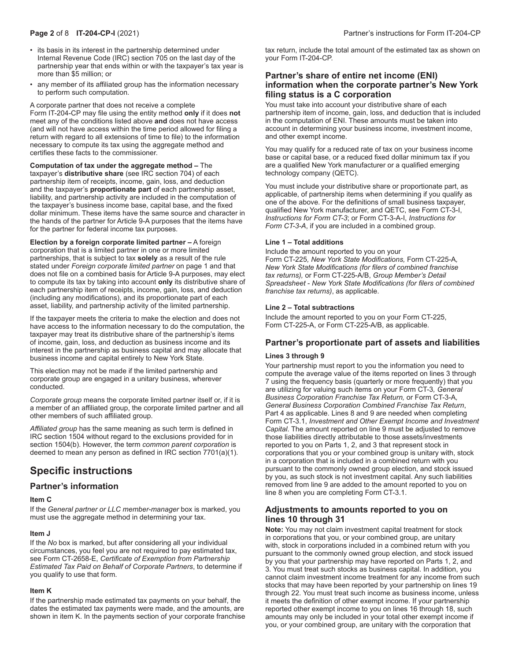- its basis in its interest in the partnership determined under Internal Revenue Code (IRC) section 705 on the last day of the partnership year that ends within or with the taxpayer's tax year is more than \$5 million; or
- any member of its affiliated group has the information necessary to perform such computation.

A corporate partner that does not receive a complete

Form IT-204-CP may file using the entity method **only** if it does **not** meet any of the conditions listed above **and** does not have access (and will not have access within the time period allowed for filing a return with regard to all extensions of time to file) to the information necessary to compute its tax using the aggregate method and certifies these facts to the commissioner.

**Computation of tax under the aggregate method –** The taxpayer's **distributive share** (see IRC section 704) of each partnership item of receipts, income, gain, loss, and deduction and the taxpayer's **proportionate part** of each partnership asset, liability, and partnership activity are included in the computation of the taxpayer's business income base, capital base, and the fixed dollar minimum. These items have the same source and character in the hands of the partner for Article 9-A purposes that the items have for the partner for federal income tax purposes.

**Election by a foreign corporate limited partner –** A foreign corporation that is a limited partner in one or more limited partnerships, that is subject to tax **solely** as a result of the rule stated under *Foreign corporate limited partner* on page 1 and that does not file on a combined basis for Article 9-A purposes, may elect to compute its tax by taking into account **only** its distributive share of each partnership item of receipts, income, gain, loss, and deduction (including any modifications), and its proportionate part of each asset, liability, and partnership activity of the limited partnership.

If the taxpayer meets the criteria to make the election and does not have access to the information necessary to do the computation, the taxpayer may treat its distributive share of the partnership's items of income, gain, loss, and deduction as business income and its interest in the partnership as business capital and may allocate that business income and capital entirely to New York State.

This election may not be made if the limited partnership and corporate group are engaged in a unitary business, wherever conducted.

*Corporate group* means the corporate limited partner itself or, if it is a member of an affiliated group, the corporate limited partner and all other members of such affiliated group.

*Affiliated group* has the same meaning as such term is defined in IRC section 1504 without regard to the exclusions provided for in section 1504(b). However, the term *common parent corporation* is deemed to mean any person as defined in IRC section 7701(a)(1).

# **Specific instructions**

# **Partner's information**

## **Item C**

If the *General partner or LLC member-manager* box is marked, you must use the aggregate method in determining your tax.

# **Item J**

If the *No* box is marked, but after considering all your individual circumstances, you feel you are not required to pay estimated tax, see Form CT-2658-E, *Certificate of Exemption from Partnership Estimated Tax Paid on Behalf of Corporate Partners*, to determine if you qualify to use that form.

## **Item K**

If the partnership made estimated tax payments on your behalf, the dates the estimated tax payments were made, and the amounts, are shown in item K. In the payments section of your corporate franchise tax return, include the total amount of the estimated tax as shown on your Form IT-204-CP.

# **Partner's share of entire net income (ENI) information when the corporate partner's New York filing status is a C corporation**

You must take into account your distributive share of each partnership item of income, gain, loss, and deduction that is included in the computation of ENI. These amounts must be taken into account in determining your business income, investment income, and other exempt income.

You may qualify for a reduced rate of tax on your business income base or capital base, or a reduced fixed dollar minimum tax if you are a qualified New York manufacturer or a qualified emerging technology company (QETC).

You must include your distributive share or proportionate part, as applicable, of partnership items when determining if you qualify as one of the above. For the definitions of small business taxpayer, qualified New York manufacturer, and QETC, see Form CT-3-I, *Instructions for Form CT-3*; or Form CT-3-A-I, *Instructions for Form CT-3-A*, if you are included in a combined group.

## **Line 1 – Total additions**

Include the amount reported to you on your Form CT-225*, New York State Modifications,* Form CT-225-A*, New York State Modifications (for filers of combined franchise tax returns),* or Form CT-225-A/B, *Group Member's Detail Spreadsheet* - *New York State Modifications (for filers of combined franchise tax returns)*, as applicable.

## **Line 2 – Total subtractions**

Include the amount reported to you on your Form CT-225, Form CT-225-A, or Form CT-225-A/B, as applicable.

# **Partner's proportionate part of assets and liabilities**

## **Lines 3 through 9**

Your partnership must report to you the information you need to compute the average value of the items reported on lines 3 through 7 using the frequency basis (quarterly or more frequently) that you are utilizing for valuing such items on your Form CT-3*, General Business Corporation Franchise Tax Return,* or Form CT-3-A*, General Business Corporation Combined Franchise Tax Return*, Part 4 as applicable. Lines 8 and 9 are needed when completing Form CT-3.1, *Investment and Other Exempt Income and Investment Capital*. The amount reported on line 9 must be adjusted to remove those liabilities directly attributable to those assets/investments reported to you on Parts 1, 2, and 3 that represent stock in corporations that you or your combined group is unitary with, stock in a corporation that is included in a combined return with you pursuant to the commonly owned group election, and stock issued by you, as such stock is not investment capital. Any such liabilities removed from line 9 are added to the amount reported to you on line 8 when you are completing Form CT-3.1.

# **Adjustments to amounts reported to you on lines 10 through 31**

**Note:** You may not claim investment capital treatment for stock in corporations that you, or your combined group, are unitary with, stock in corporations included in a combined return with you pursuant to the commonly owned group election, and stock issued by you that your partnership may have reported on Parts 1, 2, and 3. You must treat such stocks as business capital. In addition, you cannot claim investment income treatment for any income from such stocks that may have been reported by your partnership on lines 19 through 22. You must treat such income as business income, unless it meets the definition of other exempt income. If your partnership reported other exempt income to you on lines 16 through 18, such amounts may only be included in your total other exempt income if you, or your combined group, are unitary with the corporation that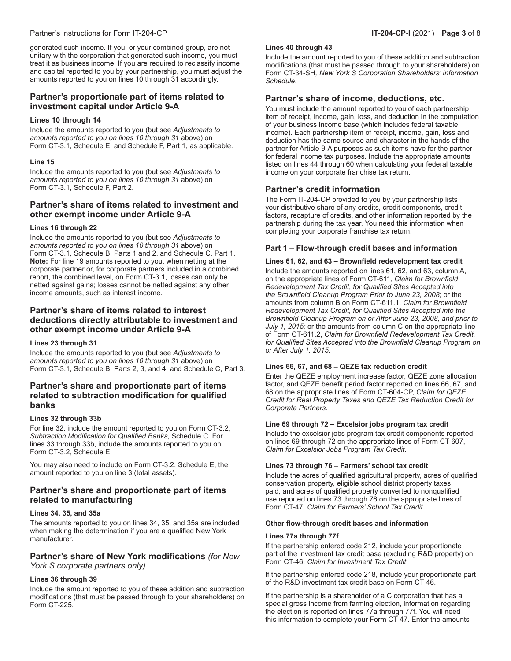# Partner's instructions for Form IT-204-CP **IT-204-CP-I** (2021) **Page 3** of 8

generated such income. If you, or your combined group, are not unitary with the corporation that generated such income, you must treat it as business income. If you are required to reclassify income and capital reported to you by your partnership, you must adjust the amounts reported to you on lines 10 through 31 accordingly.

# **Partner's proportionate part of items related to investment capital under Article 9-A**

# **Lines 10 through 14**

Include the amounts reported to you (but see *Adjustments to amounts reported to you on lines 10 through 31* above) on Form CT-3.1*,* Schedule E, and Schedule F, Part 1, as applicable.

# **Line 15**

Include the amounts reported to you (but see *Adjustments to amounts reported to you on lines 10 through 31* above) on Form CT-3.1, Schedule F, Part 2.

# **Partner's share of items related to investment and other exempt income under Article 9-A**

# **Lines 16 through 22**

Include the amounts reported to you (but see *Adjustments to amounts reported to you on lines 10 through 31* above) on Form CT-3.1, Schedule B, Parts 1 and 2, and Schedule C, Part 1. **Note:** For line 19 amounts reported to you, when netting at the corporate partner or, for corporate partners included in a combined report, the combined level, on Form CT-3.1, losses can only be netted against gains; losses cannot be netted against any other income amounts, such as interest income.

# **Partner's share of items related to interest deductions directly attributable to investment and other exempt income under Article 9-A**

## **Lines 23 through 31**

Include the amounts reported to you (but see *Adjustments to amounts reported to you on lines 10 through 31* above) on Form CT-3.1, Schedule B, Parts 2, 3, and 4, and Schedule C, Part 3.

# **Partner's share and proportionate part of items related to subtraction modification for qualified banks**

# **Lines 32 through 33b**

For line 32, include the amount reported to you on Form CT-3.2, *Subtraction Modification for Qualified Banks*, Schedule C. For lines 33 through 33b, include the amounts reported to you on Form CT-3.2, Schedule E.

You may also need to include on Form CT-3.2, Schedule E, the amount reported to you on line 3 (total assets).

# **Partner's share and proportionate part of items related to manufacturing**

## **Lines 34, 35, and 35a**

The amounts reported to you on lines 34, 35, and 35a are included when making the determination if you are a qualified New York manufacturer.

# **Partner's share of New York modifications** *(for New*

*York S corporate partners only)*

# **Lines 36 through 39**

Include the amount reported to you of these addition and subtraction modifications (that must be passed through to your shareholders) on Form CT-225.

## **Lines 40 through 43**

Include the amount reported to you of these addition and subtraction modifications (that must be passed through to your shareholders) on Form CT-34-SH*, New York S Corporation Shareholders' Information Schedule*.

# **Partner's share of income, deductions, etc.**

You must include the amount reported to you of each partnership item of receipt, income, gain, loss, and deduction in the computation of your business income base (which includes federal taxable income). Each partnership item of receipt, income, gain, loss and deduction has the same source and character in the hands of the partner for Article 9-A purposes as such items have for the partner for federal income tax purposes. Include the appropriate amounts listed on lines 44 through 60 when calculating your federal taxable income on your corporate franchise tax return.

# **Partner's credit information**

The Form IT-204-CP provided to you by your partnership lists your distributive share of any credits, credit components, credit factors, recapture of credits, and other information reported by the partnership during the tax year. You need this information when completing your corporate franchise tax return.

# **Part 1 – Flow-through credit bases and information**

# **Lines 61, 62, and 63 – Brownfield redevelopment tax credit**

Include the amounts reported on lines 61, 62, and 63, column A, on the appropriate lines of Form CT-611, *Claim for Brownfield Redevelopment Tax Credit, for Qualified Sites Accepted into the Brownfield Cleanup Program Prior to June 23, 2008*; or the amounts from column B on Form CT-611.1, *Claim for Brownfield Redevelopment Tax Credit, for Qualified Sites Accepted into the Brownfield Cleanup Program on or After June 23, 2008, and prior to July 1, 2015;* or the amounts from column C on the appropriate line of Form CT-611.2, *Claim for Brownfield Redevelopment Tax Credit, for Qualified Sites Accepted into the Brownfield Cleanup Program on or After July 1, 2015.*

# **Lines 66, 67, and 68 – QEZE tax reduction credit**

Enter the QEZE employment increase factor, QEZE zone allocation factor, and QEZE benefit period factor reported on lines 66, 67, and 68 on the appropriate lines of Form CT-604-CP, *Claim for QEZE Credit for Real Property Taxes and QEZE Tax Reduction Credit for Corporate Partners*.

## **Line 69 through 72 – Excelsior jobs program tax credit**

Include the excelsior jobs program tax credit components reported on lines 69 through 72 on the appropriate lines of Form CT-607, *Claim for Excelsior Jobs Program Tax Credit*.

# **Lines 73 through 76 – Farmers' school tax credit**

Include the acres of qualified agricultural property, acres of qualified conservation property, eligible school district property taxes paid, and acres of qualified property converted to nonqualified use reported on lines 73 through 76 on the appropriate lines of Form CT-47, *Claim for Farmers' School Tax Credit*.

## **Other flow-through credit bases and information**

## **Lines 77a through 77f**

If the partnership entered code 212, include your proportionate part of the investment tax credit base (excluding R&D property) on Form CT-46, *Claim for Investment Tax Credit*.

If the partnership entered code 218, include your proportionate part of the R&D investment tax credit base on Form CT-46.

If the partnership is a shareholder of a C corporation that has a special gross income from farming election, information regarding the election is reported on lines 77a through 77f. You will need this information to complete your Form CT-47. Enter the amounts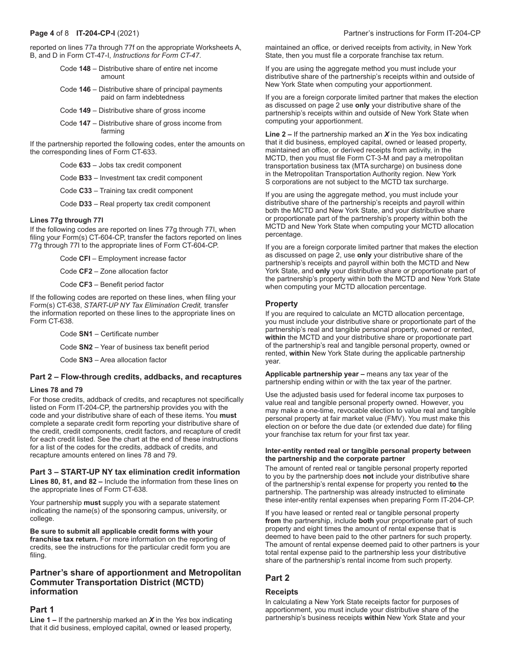**Page 4** of 8 **IT-204-CP-I** (2021) Partner's instructions for Form IT-204-CP

reported on lines 77a through 77f on the appropriate Worksheets A, B, and D in Form CT-47-I, *Instructions for Form CT-47*.

- Code **148** Distributive share of entire net income amount
- Code **146** Distributive share of principal payments paid on farm indebtedness
- Code **149** Distributive share of gross income
- Code **147** Distributive share of gross income from farming

If the partnership reported the following codes, enter the amounts on the corresponding lines of Form CT-633.

Code **633** – Jobs tax credit component

Code **B33** – Investment tax credit component

Code **C33** – Training tax credit component

Code **D33** – Real property tax credit component

# **Lines 77g through 77l**

If the following codes are reported on lines 77g through 77I, when filing your Form(s) CT-604-CP, transfer the factors reported on lines 77g through 77I to the appropriate lines of Form CT-604-CP.

Code **CFI** – Employment increase factor

Code **CF2** – Zone allocation factor

Code **CF3** – Benefit period factor

If the following codes are reported on these lines, when filing your Form(s) CT-638, *START-UP NY Tax Elimination Credit,* transfer the information reported on these lines to the appropriate lines on Form CT-638.

Code **SN1** – Certificate number

Code **SN2** – Year of business tax benefit period

Code **SN3** – Area allocation factor

# **Part 2 – Flow-through credits, addbacks, and recaptures**

## **Lines 78 and 79**

For those credits, addback of credits, and recaptures not specifically listed on Form IT-204-CP, the partnership provides you with the code and your distributive share of each of these items. You **must** complete a separate credit form reporting your distributive share of the credit, credit components, credit factors, and recapture of credit for each credit listed. See the chart at the end of these instructions for a list of the codes for the credits, addback of credits, and recapture amounts entered on lines 78 and 79.

# **Part 3 – START-UP NY tax elimination credit information**

**Lines 80, 81, and 82 –** Include the information from these lines on the appropriate lines of Form CT-638.

Your partnership **must** supply you with a separate statement indicating the name(s) of the sponsoring campus, university, or college.

**Be sure to submit all applicable credit forms with your franchise tax return.** For more information on the reporting of credits, see the instructions for the particular credit form you are filing.

# **Partner's share of apportionment and Metropolitan Commuter Transportation District (MCTD) information**

# **Part 1**

**Line 1 –** If the partnership marked an *X* in the *Yes* box indicating that it did business, employed capital, owned or leased property,

maintained an office, or derived receipts from activity, in New York State, then you must file a corporate franchise tax return.

If you are using the aggregate method you must include your distributive share of the partnership's receipts within and outside of New York State when computing your apportionment.

If you are a foreign corporate limited partner that makes the election as discussed on page 2 use **only** your distributive share of the partnership's receipts within and outside of New York State when computing your apportionment.

**Line 2 –** If the partnership marked an *X* in the *Yes* box indicating that it did business, employed capital, owned or leased property, maintained an office, or derived receipts from activity, in the MCTD, then you must file Form CT-3-M and pay a metropolitan transportation business tax (MTA surcharge) on business done in the Metropolitan Transportation Authority region. New York S corporations are not subject to the MCTD tax surcharge.

If you are using the aggregate method, you must include your distributive share of the partnership's receipts and payroll within both the MCTD and New York State, and your distributive share or proportionate part of the partnership's property within both the MCTD and New York State when computing your MCTD allocation percentage.

If you are a foreign corporate limited partner that makes the election as discussed on page 2, use **only** your distributive share of the partnership's receipts and payroll within both the MCTD and New York State, and **only** your distributive share or proportionate part of the partnership's property within both the MCTD and New York State when computing your MCTD allocation percentage.

# **Property**

If you are required to calculate an MCTD allocation percentage, you must include your distributive share or proportionate part of the partnership's real and tangible personal property, owned or rented, **within** the MCTD and your distributive share or proportionate part of the partnership's real and tangible personal property, owned or rented, **within** New York State during the applicable partnership year.

**Applicable partnership year –** means any tax year of the partnership ending within or with the tax year of the partner.

Use the adjusted basis used for federal income tax purposes to value real and tangible personal property owned. However, you may make a one-time, revocable election to value real and tangible personal property at fair market value (FMV). You must make this election on or before the due date (or extended due date) for filing your franchise tax return for your first tax year.

#### **Inter-entity rented real or tangible personal property between the partnership and the corporate partner**

The amount of rented real or tangible personal property reported to you by the partnership does **not** include your distributive share of the partnership's rental expense for property you rented **to** the partnership. The partnership was already instructed to eliminate these inter-entity rental expenses when preparing Form IT-204-CP.

If you have leased or rented real or tangible personal property **from** the partnership, include **both** your proportionate part of such property and eight times the amount of rental expense that is deemed to have been paid to the other partners for such property. The amount of rental expense deemed paid to other partners is your total rental expense paid to the partnership less your distributive share of the partnership's rental income from such property.

# **Part 2**

## **Receipts**

In calculating a New York State receipts factor for purposes of apportionment, you must include your distributive share of the partnership's business receipts **within** New York State and your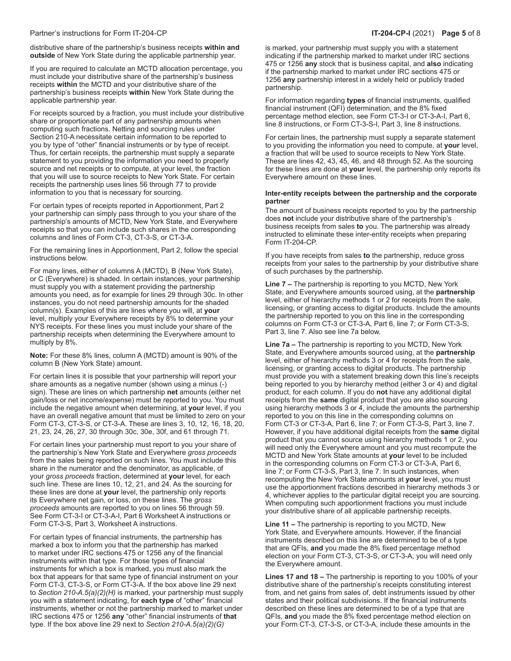#### Partner's instructions for Form IT-204-CP **IT-204-CP-I** (2021) **Page 5** of 8

distributive share of the partnership's business receipts **within and outside** of New York State during the applicable partnership year.

If you are required to calculate an MCTD allocation percentage, you must include your distributive share of the partnership's business receipts **within** the MCTD and your distributive share of the partnership's business receipts **within** New York State during the applicable partnership year.

For receipts sourced by a fraction, you must include your distributive share or proportionate part of any partnership amounts when computing such fractions. Netting and sourcing rules under Section 210-A necessitate certain information to be reported to you by type of "other" financial instruments or by type of receipt. Thus, for certain receipts, the partnership must supply a separate statement to you providing the information you need to properly source and net receipts or to compute, at your level, the fraction that you will use to source receipts to New York State. For certain receipts the partnership uses lines 56 through 77 to provide information to you that is necessary for sourcing.

For certain types of receipts reported in Apportionment, Part 2 your partnership can simply pass through to you your share of the partnership's amounts of MCTD, New York State, and Everywhere receipts so that you can include such shares in the corresponding columns and lines of Form CT-3, CT-3-S, or CT-3-A.

For the remaining lines in Apportionment, Part 2, follow the special instructions below.

For many lines, either of columns A (MCTD), B (New York State), or C (Everywhere) is shaded. In certain instances, your partnership must supply you with a statement providing the partnership amounts you need, as for example for lines 29 through 30c. In other instances, you do not need partnership amounts for the shaded column(s). Examples of this are lines where you will, at **your** level, multiply your Everywhere receipts by 8% to determine your NYS receipts. For these lines you must include your share of the partnership receipts when determining the Everywhere amount to multiply by 8%.

**Note:** For these 8% lines, column A (MCTD) amount is 90% of the column B (New York State) amount.

For certain lines it is possible that your partnership will report your share amounts as a negative number (shown using a minus (-) sign). These are lines on which partnership **net** amounts (either net gain/loss or net income/expense) must be reported to you. You must include the negative amount when determining, at **your** level, if you have an overall negative amount that must be limited to zero on your Form CT-3, CT-3-S, or CT-3-A. These are lines 3, 10, 12, 16, 18, 20, 21, 23, 24, 26, 27, 30 through 30c, 30e, 30f, and 61 through 71.

For certain lines your partnership must report to you your share of the partnership's New York State and Everywhere *gross proceeds* from the sales being reported on such lines. You must include this share in the numerator and the denominator, as applicable, of your *gross proceeds* fraction, determined at **your** level, for each such line. These are lines 10, 12, 21, and 24. As the sourcing for these lines are done at **your** level, the partnership only reports its Everywhere net gain, or loss, on these lines. The *gross proceeds* amounts are reported to you on lines 56 through 59. See Form CT-3-I or CT-3-A-I, Part 6 Worksheet A instructions or Form CT-3-S, Part 3, Worksheet A instructions.

For certain types of financial instruments, the partnership has marked a box to inform you that the partnership has marked to market under IRC sections 475 or 1256 any of the financial instruments within that type. For those types of financial instruments for which a box is marked, you must also mark the box that appears for that same type of financial instrument on your Form CT-3, CT-3-S, or Form CT-3-A. If the box above line 29 next to *Section 210-A.5(a)(2)(H)* is marked, your partnership must supply you with a statement indicating, for **each type** of "other" financial instruments, whether or not the partnership marked to market under IRC sections 475 or 1256 **any** "other" financial instruments of **that** type. If the box above line 29 next to *Section 210-A.5(a)(2)(G)*

is marked, your partnership must supply you with a statement indicating if the partnership marked to market under IRC sections 475 or 1256 **any** stock that is business capital, and **also** indicating if the partnership marked to market under IRC sections 475 or 1256 **any** partnership interest in a widely held or publicly traded partnership.

For information regarding **types** of financial instruments, qualified financial instrument (QFI) determination, and the 8% fixed percentage method election, see Form CT-3-I or CT-3-A-I, Part 6, line 8 instructions, or Form CT-3-S-I, Part 3, line 8 instructions.

For certain lines, the partnership must supply a separate statement to you providing the information you need to compute, at **your** level, a fraction that will be used to source receipts to New York State. These are lines 42, 43, 45, 46, and 48 through 52. As the sourcing for these lines are done at **your** level, the partnership only reports its Everywhere amount on these lines.

#### **Inter-entity receipts between the partnership and the corporate partner**

The amount of business receipts reported to you by the partnership does **not** include your distributive share of the partnership's business receipts from sales **to** you. The partnership was already instructed to eliminate these inter-entity receipts when preparing Form IT-204-CP.

If you have receipts from sales **to** the partnership, reduce gross receipts from your sales to the partnership by your distributive share of such purchases by the partnership.

**Line 7 –** The partnership is reporting to you MCTD, New York State, and Everywhere amounts sourced using, at the **partnership** level, either of hierarchy methods 1 or 2 for receipts from the sale, licensing, or granting access to digital products. Include the amounts the partnership reported to you on this line in the corresponding columns on Form CT-3 or CT-3-A, Part 6, line 7; or Form CT-3-S, Part 3, line 7. Also see line 7a below.

**Line 7a –** The partnership is reporting to you MCTD, New York State, and Everywhere amounts sourced using, at the **partnership** level, either of hierarchy methods 3 or 4 for receipts from the sale, licensing, or granting access to digital products. The partnership must provide you with a statement breaking down this line's receipts being reported to you by hierarchy method (either 3 or 4) and digital product, for each column. If you do **not** have any additional digital receipts from the **same** digital product that you are also sourcing using hierarchy methods 3 or 4, include the amounts the partnership reported to you on this line in the corresponding columns on Form CT-3 or CT-3-A, Part 6, line 7; or Form CT-3-S, Part 3, line 7. However, if you have additional digital receipts from the **same** digital product that you cannot source using hierarchy methods 1 or 2, you will need only the Everywhere amount and you must recompute the MCTD and New York State amounts at **your** level to be included in the corresponding columns on Form CT-3 or CT-3-A, Part 6, line 7; or Form CT-3-S, Part 3, line 7. In such instances, when recomputing the New York State amounts at **your** level, you must use the apportionment fractions described in hierarchy methods 3 or 4, whichever applies to the particular digital receipt you are sourcing. When computing such apportionment fractions you must include your distributive share of all applicable partnership receipts.

**Line 11 –** The partnership is reporting to you MCTD, New York State, and Everywhere amounts. However, if the financial instruments described on this line are determined to be of a type that are QFIs, **and** you made the 8% fixed percentage method election on your Form CT-3, CT-3-S, or CT-3-A, you will need only the Everywhere amount.

**Lines 17 and 18 –** The partnership is reporting to you 100% of your distributive share of the partnership's receipts constituting interest from, and net gains from sales of, debt instruments issued by other states and their political subdivisions. If the financial instruments described on these lines are determined to be of a type that are QFIs, **and** you made the 8% fixed percentage method election on your Form CT-3, CT-3-S, or CT-3-A, include these amounts in the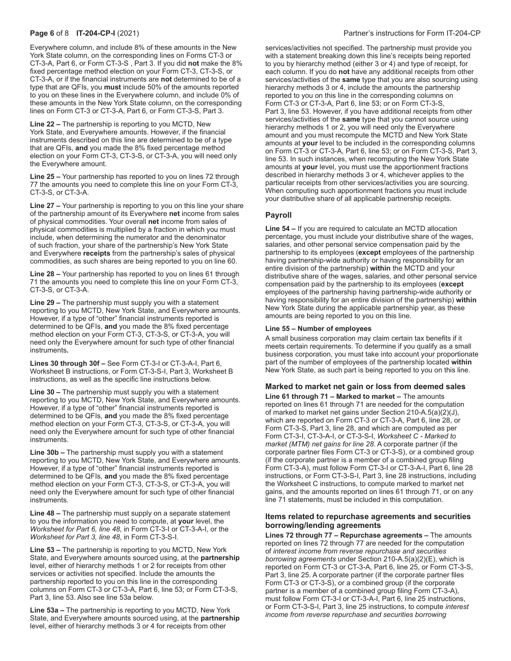Everywhere column, and include 8% of these amounts in the New York State column, on the corresponding lines on Forms CT-3 or CT-3-A, Part 6, or Form CT-3-S , Part 3. If you did **not** make the 8% fixed percentage method election on your Form CT-3, CT-3-S, or CT-3-A, or if the financial instruments are **not** determined to be of a type that are QFIs, you **must** include 50% of the amounts reported to you on these lines in the Everywhere column, and include 0% of these amounts in the New York State column, on the corresponding lines on Form CT-3 or CT-3-A, Part 6, or Form CT-3-S, Part 3.

**Line 22 –** The partnership is reporting to you MCTD, New York State, and Everywhere amounts. However, if the financial instruments described on this line are determined to be of a type that are QFIs, **and** you made the 8% fixed percentage method election on your Form CT-3, CT-3-S, or CT-3-A, you will need only the Everywhere amount.

**Line 25 –** Your partnership has reported to you on lines 72 through 77 the amounts you need to complete this line on your Form CT-3, CT-3-S, or CT-3-A.

**Line 27 –** Your partnership is reporting to you on this line your share of the partnership amount of its Everywhere **net** income from sales of physical commodities. Your overall **net** income from sales of physical commodities is multiplied by a fraction in which you must include, when determining the numerator and the denominator of such fraction, your share of the partnership's New York State and Everywhere **receipts** from the partnership's sales of physical commodities, as such shares are being reported to you on line 60.

**Line 28 –** Your partnership has reported to you on lines 61 through 71 the amounts you need to complete this line on your Form CT-3, CT-3-S, or CT-3-A.

**Line 29 –** The partnership must supply you with a statement reporting to you MCTD, New York State, and Everywhere amounts. However, if a type of "other" financial instruments reported is determined to be QFIs, **and** you made the 8% fixed percentage method election on your Form CT-3, CT-3-S, or CT-3-A, you will need only the Everywhere amount for such type of other financial instruments**.**

**Lines 30 through 30f –** See Form CT-3-I or CT-3-A-I, Part 6, Worksheet B instructions, or Form CT-3-S-I, Part 3, Worksheet B instructions, as well as the specific line instructions below.

**Line 30 –** The partnership must supply you with a statement reporting to you MCTD, New York State, and Everywhere amounts. However, if a type of "other" financial instruments reported is determined to be QFIs, **and** you made the 8% fixed percentage method election on your Form CT-3, CT-3-S, or CT-3-A, you will need only the Everywhere amount for such type of other financial instruments.

**Line 30b –** The partnership must supply you with a statement reporting to you MCTD, New York State, and Everywhere amounts. However, if a type of "other" financial instruments reported is determined to be QFIs, **and** you made the 8% fixed percentage method election on your Form CT-3, CT-3-S, or CT-3-A, you will need only the Everywhere amount for such type of other financial instruments.

**Line 48 –** The partnership must supply on a separate statement to you the information you need to compute, at **your** level, the *Worksheet for Part 6, line 48*, in Form CT-3-I or CT-3-A-I, or the *Worksheet for Part 3, line 48*, in Form CT-3-S-I.

**Line 53 –** The partnership is reporting to you MCTD, New York State, and Everywhere amounts sourced using, at the **partnership** level, either of hierarchy methods 1 or 2 for receipts from other services or activities not specified. Include the amounts the partnership reported to you on this line in the corresponding columns on Form CT-3 or CT-3-A, Part 6, line 53; or Form CT-3-S, Part 3, line 53. Also see line 53a below.

**Line 53a –** The partnership is reporting to you MCTD, New York State, and Everywhere amounts sourced using, at the **partnership** level, either of hierarchy methods 3 or 4 for receipts from other

services/activities not specified. The partnership must provide you with a statement breaking down this line's receipts being reported to you by hierarchy method (either 3 or 4) and type of receipt, for each column. If you do **not** have any additional receipts from other services/activities of the **same** type that you are also sourcing using hierarchy methods 3 or 4, include the amounts the partnership reported to you on this line in the corresponding columns on Form CT-3 or CT-3-A, Part 6, line 53; or on Form CT-3-S, Part 3, line 53. However, if you have additional receipts from other services/activities of the **same** type that you cannot source using hierarchy methods 1 or 2, you will need only the Everywhere amount and you must recompute the MCTD and New York State amounts at **your** level to be included in the corresponding columns on Form CT-3 or CT-3-A, Part 6, line 53; or on Form CT-3-S, Part 3, line 53. In such instances, when recomputing the New York State amounts at **your** level, you must use the apportionment fractions described in hierarchy methods 3 or 4, whichever applies to the particular receipts from other services/activities you are sourcing. When computing such apportionment fractions you must include your distributive share of all applicable partnership receipts.

# **Payroll**

**Line 54 –** If you are required to calculate an MCTD allocation percentage, you must include your distributive share of the wages, salaries, and other personal service compensation paid by the partnership to its employees (**except** employees of the partnership having partnership-wide authority or having responsibility for an entire division of the partnership) **within** the MCTD and your distributive share of the wages, salaries, and other personal service compensation paid by the partnership to its employees (**except** employees of the partnership having partnership-wide authority or having responsibility for an entire division of the partnership) **within**  New York State during the applicable partnership year, as these amounts are being reported to you on this line.

## **Line 55 – Number of employees**

A small business corporation may claim certain tax benefits if it meets certain requirements. To determine if you qualify as a small business corporation, you must take into account your proportionate part of the number of employees of the partnership located **within**  New York State, as such part is being reported to you on this line.

# **Marked to market net gain or loss from deemed sales**

**Line 61 through 71 – Marked to market –** The amounts reported on lines 61 through 71 are needed for the computation of marked to market net gains under Section 210-A.5(a)(2)(J), which are reported on Form CT-3 or CT-3-A, Part 6, line 28, or Form CT-3-S, Part 3, line 28, and which are computed as per Form CT-3-I, CT-3-A-I, or CT-3-S-I, *Worksheet C - Marked to market (MTM) net gains for line 28*. A corporate partner (if the corporate partner files Form CT-3 or CT-3-S), or a combined group (if the corporate partner is a member of a combined group filing Form CT-3-A), must follow Form CT-3-I or CT-3-A-I, Part 6, line 28 instructions, or Form CT-3-S-I, Part 3, line 28 instructions, including the Worksheet C instructions, to compute marked to market net gains, and the amounts reported on lines 61 through 71, or on any line 71 statements, must be included in this computation.

# **Items related to repurchase agreements and securities borrowing/lending agreements**

**Lines 72 through 77 – Repurchase agreements –** The amounts reported on lines 72 through 77 are needed for the computation of *interest income from reverse repurchase and securities borrowing agreements* under Section 210-A.5(a)(2)(E), which is reported on Form CT-3 or CT-3-A, Part 6, line 25, or Form CT-3-S, Part 3, line 25. A corporate partner (if the corporate partner files Form CT-3 or CT-3-S), or a combined group (if the corporate partner is a member of a combined group filing Form CT-3-A), must follow Form CT-3-I or CT-3-A-I, Part 6, line 25 instructions, or Form CT-3-S-I, Part 3, line 25 instructions, to compute *interest income from reverse repurchase and securities borrowing*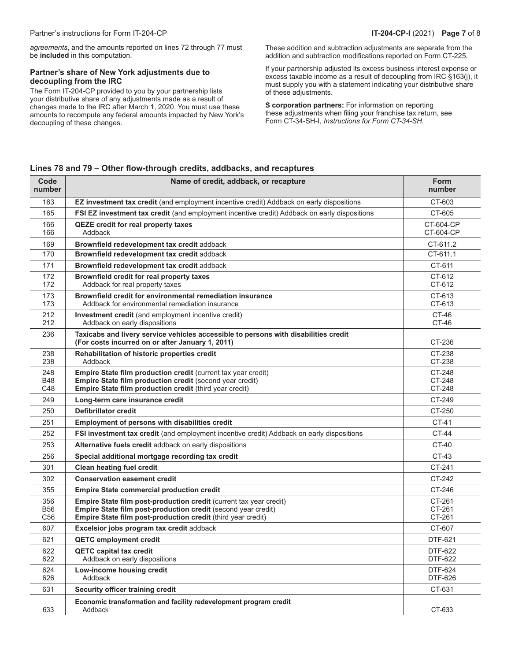*agreements*, and the amounts reported on lines 72 through 77 must be **included** in this computation.

# **Partner's share of New York adjustments due to decoupling from the IRC**

The Form IT-204-CP provided to you by your partnership lists your distributive share of any adjustments made as a result of changes made to the IRC after March 1, 2020. You must use these amounts to recompute any federal amounts impacted by New York's decoupling of these changes.

These addition and subtraction adjustments are separate from the addition and subtraction modifications reported on Form CT-225.

If your partnership adjusted its excess business interest expense or excess taxable income as a result of decoupling from IRC §163(j), it must supply you with a statement indicating your distributive share of these adjustments.

**S corporation partners:** For information on reporting these adjustments when filing your franchise tax return, see Form CT-34-SH-I, *Instructions for Form CT-34-SH*.

# **Lines 78 and 79 – Other flow-through credits, addbacks, and recaptures**

| Code<br>number                | Name of credit, addback, or recapture                                                                                                                                                                      | <b>Form</b><br>number      |
|-------------------------------|------------------------------------------------------------------------------------------------------------------------------------------------------------------------------------------------------------|----------------------------|
| 163                           | EZ investment tax credit (and employment incentive credit) Addback on early dispositions                                                                                                                   | CT-603                     |
| 165                           | FSI EZ investment tax credit (and employment incentive credit) Addback on early dispositions                                                                                                               | CT-605                     |
| 166<br>166                    | <b>QEZE credit for real property taxes</b><br>Addback                                                                                                                                                      | CT-604-CP<br>CT-604-CP     |
| 169                           | Brownfield redevelopment tax credit addback                                                                                                                                                                | CT-611.2                   |
| 170                           | Brownfield redevelopment tax credit addback                                                                                                                                                                | CT-611.1                   |
| 171                           | Brownfield redevelopment tax credit addback                                                                                                                                                                | CT-611                     |
| 172<br>172                    | Brownfield credit for real property taxes<br>Addback for real property taxes                                                                                                                               | CT-612<br>CT-612           |
| 173<br>173                    | Brownfield credit for environmental remediation insurance<br>Addback for environmental remediation insurance                                                                                               | CT-613<br>CT-613           |
| 212<br>212                    | Investment credit (and employment incentive credit)<br>Addback on early dispositions                                                                                                                       | CT-46<br>CT-46             |
| 236                           | Taxicabs and livery service vehicles accessible to persons with disabilities credit<br>(For costs incurred on or after January 1, 2011)                                                                    | CT-236                     |
| 238<br>238                    | Rehabilitation of historic properties credit<br>Addback                                                                                                                                                    | CT-238<br>CT-238           |
| 248<br><b>B48</b><br>C48      | Empire State film production credit (current tax year credit)<br>Empire State film production credit (second year credit)<br>Empire State film production credit (third year credit)                       | CT-248<br>CT-248<br>CT-248 |
| 249                           | Long-term care insurance credit                                                                                                                                                                            | CT-249                     |
| 250                           | <b>Defibrillator credit</b>                                                                                                                                                                                | CT-250                     |
| 251                           | <b>Employment of persons with disabilities credit</b>                                                                                                                                                      | CT-41                      |
| 252                           | FSI investment tax credit (and employment incentive credit) Addback on early dispositions                                                                                                                  | <b>CT-44</b>               |
| 253                           | Alternative fuels credit addback on early dispositions                                                                                                                                                     | CT-40                      |
| 256                           | Special additional mortgage recording tax credit                                                                                                                                                           | CT-43                      |
| 301                           | <b>Clean heating fuel credit</b>                                                                                                                                                                           | CT-241                     |
| 302                           | <b>Conservation easement credit</b>                                                                                                                                                                        | CT-242                     |
| 355                           | <b>Empire State commercial production credit</b>                                                                                                                                                           | CT-246                     |
| 356<br>B56<br>C <sub>56</sub> | <b>Empire State film post-production credit (current tax year credit)</b><br>Empire State film post-production credit (second year credit)<br>Empire State film post-production credit (third year credit) | CT-261<br>CT-261<br>CT-261 |
| 607                           | Excelsior jobs program tax credit addback                                                                                                                                                                  | CT-607                     |
| 621                           | <b>QETC employment credit</b>                                                                                                                                                                              | DTF-621                    |
| 622<br>622                    | <b>QETC capital tax credit</b><br>Addback on early dispositions                                                                                                                                            | DTF-622<br>DTF-622         |
| 624<br>626                    | Low-income housing credit<br>Addback                                                                                                                                                                       | DTF-624<br>DTF-626         |
| 631                           | Security officer training credit                                                                                                                                                                           | CT-631                     |
| 633                           | Economic transformation and facility redevelopment program credit<br>Addback                                                                                                                               | CT-633                     |
|                               |                                                                                                                                                                                                            |                            |